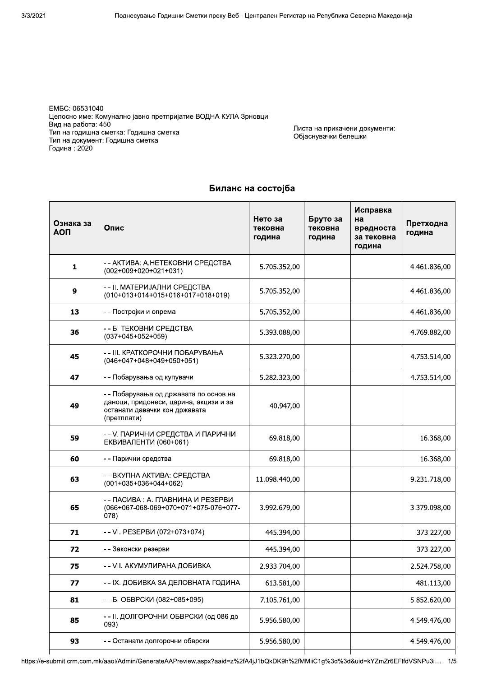UVWXYZ[YX[Z\Z]\^\_X ` a&MT@ Целосно име: Комунално јавно претпријатие ВОДНА КУЛА Зрновци Вид на работа: 450 тип на годишна сметка: годишна сметка<br>– тип на документ: годишна сметка<br>\_ I одина : 2020

h l & Оојаснувачки оелешки

| Ознака за<br><b>AON</b> | Опис                                                                                                                             | Нето за<br>тековна<br>година | Бруто за<br>тековна<br>година | Исправка<br>на<br>вредноста<br>за тековна<br>година |              |
|-------------------------|----------------------------------------------------------------------------------------------------------------------------------|------------------------------|-------------------------------|-----------------------------------------------------|--------------|
| 1                       | - - АКТИВА: А.НЕТЕКОВНИ СРЕДСТВА<br>$(002+009+020+021+031)$                                                                      | 5.705.352,00                 |                               |                                                     | 4.461.836,00 |
| 9                       | -- ІІ. МАТЕРИЈАЛНИ СРЕДСТВА<br>$(010+013+014+015+016+017+018+019)$                                                               | 5.705.352,00                 |                               |                                                     | 4.461.836,00 |
| 13                      | - - Постројки и опрема                                                                                                           | 5.705.352,00                 |                               |                                                     | 4.461.836,00 |
| 36                      | - - Б. ТЕКОВНИ СРЕДСТВА<br>$(037+045+052+059)$                                                                                   | 5.393.088,00                 |                               |                                                     | 4.769.882,00 |
| 45                      | - - III. КРАТКОРОЧНИ ПОБАРУВАЊА<br>$(046+047+048+049+050+051)$                                                                   | 5.323.270,00                 |                               |                                                     | 4.753.514,00 |
| 47                      | - - Побарувања од купувачи                                                                                                       | 5.282.323,00                 |                               |                                                     | 4.753.514,00 |
| 49                      | - - Побарувања од државата по основ на<br>даноци, придонеси, царина, акцизи и за<br>останати давачки кон државата<br>(претплати) | 40.947,00                    |                               |                                                     |              |
| 59                      | - - V. ПАРИЧНИ СРЕДСТВА И ПАРИЧНИ<br><b>ЕКВИВАЛЕНТИ (060+061)</b>                                                                | 69.818,00                    |                               |                                                     | 16.368,00    |
| 60                      | - - Парични средства                                                                                                             | 69.818,00                    |                               |                                                     | 16.368,00    |
| 63                      | - - ВКУПНА АКТИВА: СРЕДСТВА<br>$(001+035+036+044+062)$                                                                           | 11.098.440,00                |                               |                                                     | 9.231.718,00 |
| 65                      | - - ПАСИВА : А. ГЛАВНИНА И РЕЗЕРВИ<br>(066+067-068-069+070+071+075-076+077-<br>(078)                                             | 3.992.679,00                 |                               |                                                     | 3.379.098,00 |
| 71                      | -- VI. PE3EPBИ (072+073+074)                                                                                                     | 445.394,00                   |                               |                                                     | 373.227,00   |
| 72                      | - - Законски резерви                                                                                                             | 445.394,00                   |                               |                                                     | 373.227,00   |
| 75                      | - - VII. АКУМУЛИРАНА ДОБИВКА                                                                                                     | 2.933.704,00                 |                               |                                                     | 2.524.758,00 |
| 77                      | - - IX. ДОБИВКА ЗА ДЕЛОВНАТА ГОДИНА                                                                                              | 613.581,00                   |                               |                                                     | 481.113,00   |
| 81                      | - - Б. ОБВРСКИ (082+085+095)                                                                                                     | 7.105.761,00                 |                               |                                                     | 5.852.620,00 |
| 85                      | - - ІІ. ДОЛГОРОЧНИ ОБВРСКИ (од 086 до<br>093)                                                                                    | 5.956.580,00                 |                               |                                                     | 4.549.476,00 |
| 93                      | - - Останати долгорочни обврски                                                                                                  | 5.956.580,00                 |                               |                                                     | 4.549.476,00 |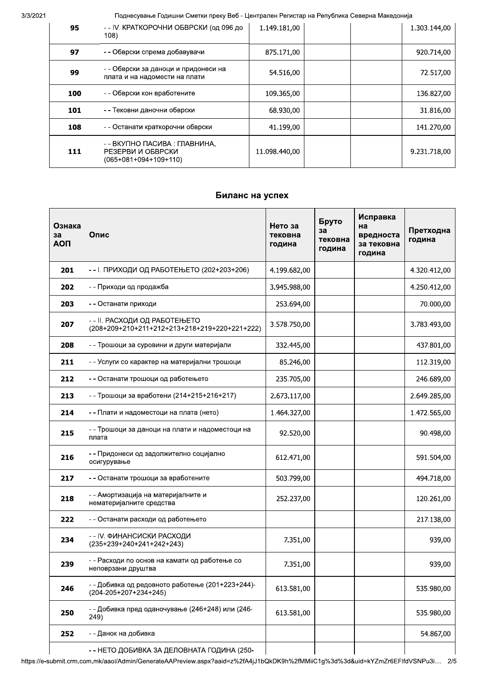3/3/2021

Поднесување Годишни Сметки преку Веб - Централен Регистар на Република Северна Македонија

| 95  | - - IV. КРАТКОРОЧНИ ОБВРСКИ (од 096 до<br>108)                                | 1.149.181,00  |  | 1.303.144,00 |
|-----|-------------------------------------------------------------------------------|---------------|--|--------------|
| 97  | - - Обврски спрема добавувачи                                                 | 875.171,00    |  | 920.714,00   |
| 99  | - - Обврски за даноци и придонеси на<br>плата и на надомести на плати         | 54.516,00     |  | 72.517,00    |
| 100 | - - Обврски кон вработените                                                   | 109.365,00    |  | 136.827,00   |
| 101 | - - Тековни даночни обврски                                                   | 68.930,00     |  | 31.816,00    |
| 108 | - - Останати краткорочни обврски                                              | 41.199,00     |  | 141.270,00   |
| 111 | - - ВКУПНО ПАСИВА : ГЛАВНИНА,<br>РЕЗЕРВИ И ОБВРСКИ<br>$(065+081+094+109+110)$ | 11.098.440,00 |  | 9.231.718,00 |

## Биланс на успех

| Ознака<br>3a<br><b>AON</b> | Опис                                                                           | Нето за<br>тековна<br>година | Бруто<br>за<br>тековна<br>година | Исправка<br>на<br>вредноста<br>за тековна<br>година | Претходна<br>година |
|----------------------------|--------------------------------------------------------------------------------|------------------------------|----------------------------------|-----------------------------------------------------|---------------------|
| 201                        | - - І. ПРИХОДИ ОД РАБОТЕЊЕТО (202+203+206)                                     | 4.199.682,00                 |                                  |                                                     | 4.320.412,00        |
| 202                        | - - Приходи од продажба                                                        | 3.945.988,00                 |                                  |                                                     | 4.250.412,00        |
| 203                        | - - Останати приходи                                                           | 253.694,00                   |                                  |                                                     | 70.000,00           |
| 207                        | - - II. РАСХОДИ ОД РАБОТЕЊЕТО<br>(208+209+210+211+212+213+218+219+220+221+222) | 3.578.750,00                 |                                  |                                                     | 3.783.493,00        |
| 208                        | - - Трошоци за суровини и други материјали                                     | 332.445,00                   |                                  |                                                     | 437.801,00          |
| 211                        | - - Услуги со карактер на материјални трошоци                                  | 85.246,00                    |                                  |                                                     | 112.319,00          |
| 212                        | - - Останати трошоци од работењето                                             | 235.705,00                   |                                  |                                                     | 246.689,00          |
| 213                        | - - Трошоци за вработени (214+215+216+217)                                     | 2.673.117,00                 |                                  |                                                     | 2.649.285,00        |
| 214                        | - - Плати и надоместоци на плата (нето)                                        | 1.464.327,00                 |                                  |                                                     | 1.472.565,00        |
| 215                        | - - Трошоци за даноци на плати и надоместоци на<br>плата                       | 92.520,00                    |                                  |                                                     | 90.498,00           |
| 216                        | - - Придонеси од задолжително социјално<br>осигурување                         | 612.471,00                   |                                  |                                                     | 591.504,00          |
| 217                        | - - Останати трошоци за вработените                                            | 503.799,00                   |                                  |                                                     | 494.718,00          |
| 218                        | - - Амортизација на материјалните и<br>нематеријалните средства                | 252.237,00                   |                                  |                                                     | 120.261,00          |
| 222                        | - - Останати расходи од работењето                                             |                              |                                  |                                                     | 217.138,00          |
| 234                        | - - IV. ФИНАНСИСКИ РАСХОДИ<br>(235+239+240+241+242+243)                        | 7.351,00                     |                                  |                                                     | 939,00              |
| 239                        | - - Расходи по основ на камати од работење со<br>неповрзани друштва            | 7.351,00                     |                                  |                                                     | 939,00              |
| 246                        | - - Добивка од редовното работење (201+223+244)-<br>(204-205+207+234+245)      | 613.581,00                   |                                  |                                                     | 535.980,00          |
| 250                        | - - Добивка пред оданочување (246+248) или (246-<br>249)                       | 613.581,00                   |                                  |                                                     | 535.980,00          |
| 252                        | - - Данок на добивка                                                           |                              |                                  |                                                     | 54.867,00           |
|                            | - - НЕТО ДОБИВКА ЗА ДЕЛОВНАТА ГОДИНА (250-                                     |                              |                                  |                                                     |                     |

https://e-submit.crm.com.mk/aaol/Admin/GenerateAAPreview.aspx?aaid=z%2fA4jJ1bQkDK9h%2fMMiiC1g%3d%3d&uid=kYZmZr6EFIfdVSNPu3i... 2/5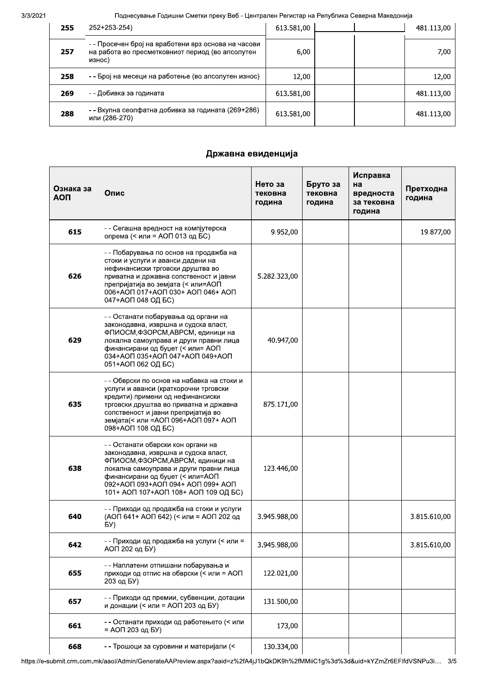#### Поднесување Годишни Сметки преку Веб - Централен Регистар на Република Северна Македонија

| 255 | 252+253-254)                                                                                                      | 613.581,00 | 481.113,00 |
|-----|-------------------------------------------------------------------------------------------------------------------|------------|------------|
| 257 | - - Просечен број на вработени врз основа на часови<br>на работа во пресметковниот период (во апсолутен<br>износ) | 6,00       | 7,00       |
| 258 | - - Број на месеци на работење (во апсолутен износ)                                                               | 12,00      | 12,00      |
| 269 | - - Добивка за годината                                                                                           | 613.581,00 | 481.113,00 |
| 288 | - - Вкупна сеопфатна добивка за годината (269+286)<br>или (286-270)                                               | 613.581,00 | 481.113,00 |

### Државна евиденција

| Ознака за<br><b>AON</b> | Опис                                                                                                                                                                                                                                                                      | Нето за<br>тековна<br>година | Бруто за<br>тековна<br>година | Исправка<br>на<br>вредноста<br>за тековна<br>година | Претходна<br>година |
|-------------------------|---------------------------------------------------------------------------------------------------------------------------------------------------------------------------------------------------------------------------------------------------------------------------|------------------------------|-------------------------------|-----------------------------------------------------|---------------------|
| 615                     | - - Сегашна вредност на компјутерска<br>опрема (< или = АОП 013 од БС)                                                                                                                                                                                                    | 9.952,00                     |                               |                                                     | 19.877,00           |
| 626                     | - - Побарувања по основ на продажба на<br>стоки и услуги и аванси дадени на<br>нефинансиски трговски друштва во<br>приватна и државна сопственост и јавни<br>препријатија во земјата (< или=АОП<br>006+АОП 017+АОП 030+ АОП 046+ АОП<br>047+АОП 048 ОД БС)                | 5.282.323,00                 |                               |                                                     |                     |
| 629                     | - - Останати побарувања од органи на<br>законодавна, извршна и судска власт,<br>ФПИОСМ, ФЗОРСМ, АВРСМ, единици на<br>локална самоуправа и други правни лица<br>финансирани од буџет (< или= АОП<br>034+AON 035+AON 047+AON 049+AON<br>051+АОП 062 ОД БС)                  | 40.947,00                    |                               |                                                     |                     |
| 635                     | - - Обврски по основ на набавка на стоки и<br>услуги и аванси (краткорочни трговски<br>кредити) примени од нефинансиски<br>трговски друштва во приватна и државна<br>сопственост и јавни препријатија во<br>земјата(< или =АОП 096+АОП 097+ АОП<br>098+АОП 108 ОД БС)     | 875.171,00                   |                               |                                                     |                     |
| 638                     | - - Останати обврски кон органи на<br>законодавна, извршна и судска власт,<br>ФПИОСМ, ФЗОРСМ, АВРСМ, единици на<br>локална самоуправа и други правни лица<br>финансирани од буџет (< или=АОП<br>092+AON 093+AON 094+ AON 099+ AON<br>101+ АОП 107+АОП 108+ АОП 109 ОД БС) | 123.446,00                   |                               |                                                     |                     |
| 640                     | - - Приходи од продажба на стоки и услуги<br>(АОП 641+ АОП 642) (< или = АОП 202 од<br>БУ)                                                                                                                                                                                | 3.945.988,00                 |                               |                                                     | 3.815.610,00        |
| 642                     | - - Приходи од продажба на услуги (< или =<br>АОП 202 од БУ)                                                                                                                                                                                                              | 3.945.988,00                 |                               |                                                     | 3.815.610,00        |
| 655                     | - - Наплатени отпишани побарувања и<br>приходи од отпис на обврски (< или = АОП<br>203 од БУ)                                                                                                                                                                             | 122.021,00                   |                               |                                                     |                     |
| 657                     | - - Приходи од премии, субвенции, дотации<br>и донации (< или = АОП 203 од БУ)                                                                                                                                                                                            | 131.500,00                   |                               |                                                     |                     |
| 661                     | - - Останати приходи од работењето (< или<br>= АОП 203 од БУ)                                                                                                                                                                                                             | 173,00                       |                               |                                                     |                     |
| 668                     | - - Трошоци за суровини и материјали (<                                                                                                                                                                                                                                   | 130.334,00                   |                               |                                                     |                     |

https://e-submit.crm.com.mk/aaol/Admin/GenerateAAPreview.aspx?aaid=z%2fA4jJ1bQkDK9h%2fMMiiC1g%3d%3d&uid=kYZmZr6EFIfdVSNPu3i... 3/5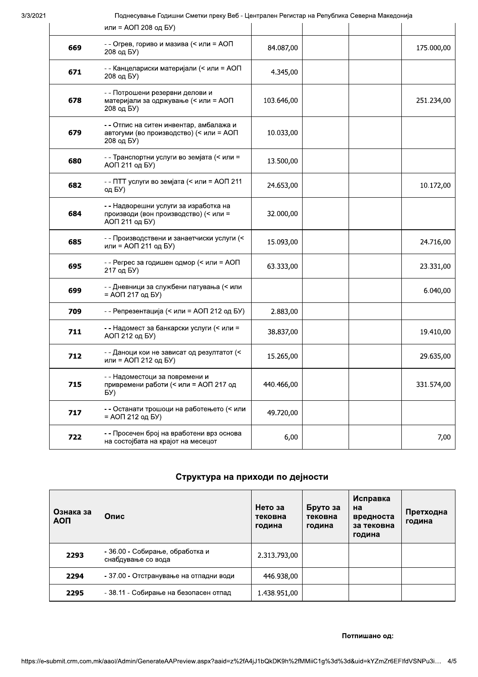#### 3/3/2021

Поднесување Годишни Сметки преку Веб - Централен Регистар на Република Северна Македонија

|     | или = АОП 208 од БУ)                                                                             |            |  |            |
|-----|--------------------------------------------------------------------------------------------------|------------|--|------------|
| 669 | - - Огрев, гориво и мазива (< или = АОП<br>208 од БУ)                                            | 84.087,00  |  | 175.000,00 |
| 671 | - - Канцелариски материјали (< или = АОП<br>208 од БУ)                                           | 4.345,00   |  |            |
| 678 | - - Потрошени резервни делови и<br>материјали за одржување (< или = АОП<br>208 од БУ)            | 103.646,00 |  | 251.234,00 |
| 679 | - - Отпис на ситен инвентар, амбалажа и<br>автогуми (во производство) (< или = АОП<br>208 од БУ) | 10.033,00  |  |            |
| 680 | - - Транспортни услуги во земјата (< или =<br>АОП 211 од БУ)                                     | 13.500,00  |  |            |
| 682 | - - ПТТ услуги во земјата (< или = АОП 211<br>од БУ)                                             | 24.653,00  |  | 10.172,00  |
| 684 | - - Надворешни услуги за изработка на<br>производи (вон производство) (< или =<br>АОП 211 од БУ) | 32.000,00  |  |            |
| 685 | - - Производствени и занаетчиски услуги (<<br>или = АОП 211 од БУ)                               | 15.093,00  |  | 24.716,00  |
| 695 | - - Регрес за годишен одмор (< или = АОП<br>217 од БУ)                                           | 63.333,00  |  | 23.331,00  |
| 699 | - - Дневници за службени патувања (< или<br>= АОП 217 од БУ)                                     |            |  | 6.040,00   |
| 709 | - - Репрезентација (< или = АОП 212 од БУ)                                                       | 2.883,00   |  |            |
| 711 | - - Надомест за банкарски услуги (< или =<br>АОП 212 од БУ)                                      | 38.837,00  |  | 19.410,00  |
| 712 | - - Даноци кои не зависат од резултатот (<<br>или = АОП 212 од БУ)                               | 15.265,00  |  | 29.635,00  |
| 715 | - - Надоместоци за повремени и<br>привремени работи (< или = АОП 217 од<br>БУ)                   | 440.466,00 |  | 331.574,00 |
| 717 | - - Останати трошоци на работењето (< или<br>= АОП 212 од БУ)                                    | 49.720,00  |  |            |
| 722 | - - Просечен број на вработени врз основа<br>на состојбата на крајот на месецот                  | 6,00       |  | 7,00       |

# Структура на приходи по дејности

| Ознака за<br><b>AON</b> | Опис                                                  | Нето за<br>тековна<br>година | Бруто за<br>тековна<br>година | Исправка<br>на<br>вредноста<br>за тековна<br>година | Претходна<br>година |
|-------------------------|-------------------------------------------------------|------------------------------|-------------------------------|-----------------------------------------------------|---------------------|
| 2293                    | - 36.00 - Собирање, обработка и<br>снабдување со вода | 2.313.793,00                 |                               |                                                     |                     |
| 2294                    | - 37.00 - Отстранување на отпадни води                | 446.938,00                   |                               |                                                     |                     |
| 2295                    | - 38.11 - Собирање на безопасен отпад                 | 1.438.951,00                 |                               |                                                     |                     |

Потпишано од: